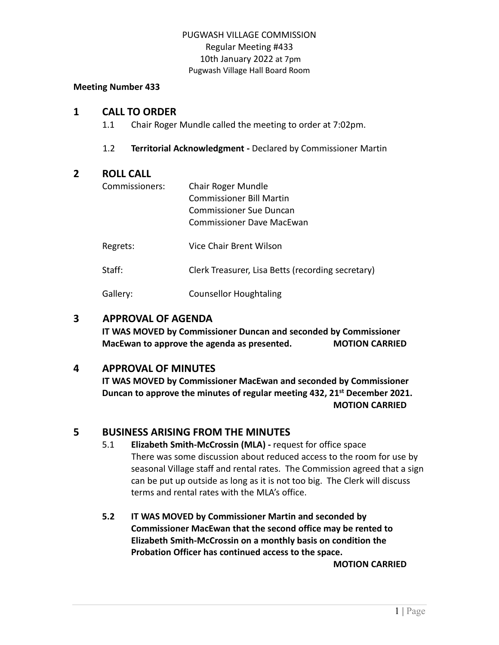## PUGWASH VILLAGE COMMISSION Regular Meeting #433 10th January 2022 at 7pm Pugwash Village Hall Board Room

#### **Meeting Number 433**

### **1 CALL TO ORDER**

1.1 Chair Roger Mundle called the meeting to order at 7:02pm.

1.2 **Territorial Acknowledgment -** Declared by Commissioner Martin

## **2 ROLL CALL**

| Commissioners: | Chair Roger Mundle                                |
|----------------|---------------------------------------------------|
|                | <b>Commissioner Bill Martin</b>                   |
|                | Commissioner Sue Duncan                           |
|                | Commissioner Dave MacEwan                         |
| Regrets:       | Vice Chair Brent Wilson                           |
| Staff:         | Clerk Treasurer, Lisa Betts (recording secretary) |
| Gallery:       | <b>Counsellor Houghtaling</b>                     |

## **3 APPROVAL OF AGENDA**

**IT WAS MOVED by Commissioner Duncan and seconded by Commissioner MacEwan to approve the agenda as presented. MOTION CARRIED**

# **4 APPROVAL OF MINUTES**

**IT WAS MOVED by Commissioner MacEwan and seconded by Commissioner Duncan to approve the minutes of regular meeting 432, 21st December 2021. MOTION CARRIED**

# **5 BUSINESS ARISING FROM THE MINUTES**

- 5.1 **Elizabeth Smith-McCrossin (MLA) -** request for office space There was some discussion about reduced access to the room for use by seasonal Village staff and rental rates. The Commission agreed that a sign can be put up outside as long as it is not too big. The Clerk will discuss terms and rental rates with the MLA's office.
- **5.2 IT WAS MOVED by Commissioner Martin and seconded by Commissioner MacEwan that the second office may be rented to Elizabeth Smith-McCrossin on a monthly basis on condition the Probation Officer has continued access to the space.**

**MOTION CARRIED**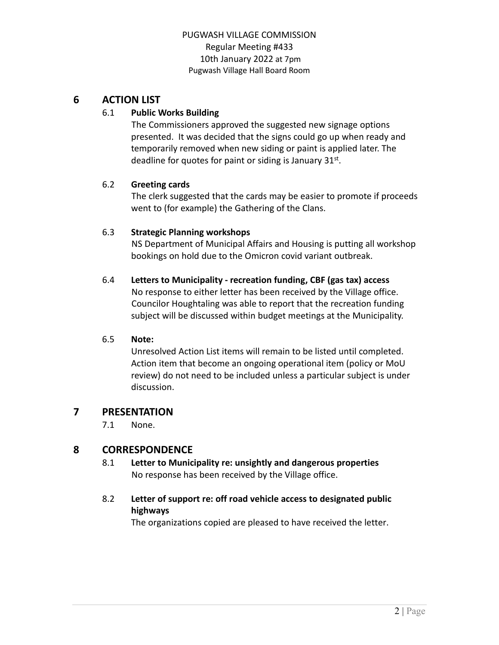## PUGWASH VILLAGE COMMISSION Regular Meeting #433 10th January 2022 at 7pm Pugwash Village Hall Board Room

# **6 ACTION LIST**

### 6.1 **Public Works Building**

The Commissioners approved the suggested new signage options presented. It was decided that the signs could go up when ready and temporarily removed when new siding or paint is applied later. The deadline for quotes for paint or siding is January 31st.

### 6.2 **Greeting cards**

The clerk suggested that the cards may be easier to promote if proceeds went to (for example) the Gathering of the Clans.

### 6.3 **Strategic Planning workshops**

NS Department of Municipal Affairs and Housing is putting all workshop bookings on hold due to the Omicron covid variant outbreak.

## 6.4 **Letters to Municipality - recreation funding, CBF (gas tax) access**

No response to either letter has been received by the Village office. Councilor Houghtaling was able to report that the recreation funding subject will be discussed within budget meetings at the Municipality.

#### 6.5 **Note:**

Unresolved Action List items will remain to be listed until completed. Action item that become an ongoing operational item (policy or MoU review) do not need to be included unless a particular subject is under discussion.

## **7 PRESENTATION**

7.1 None.

# **8 CORRESPONDENCE**

8.1 **Letter to Municipality re: unsightly and dangerous properties** No response has been received by the Village office.

## 8.2 **Letter of support re: off road vehicle access to designated public highways**

The organizations copied are pleased to have received the letter.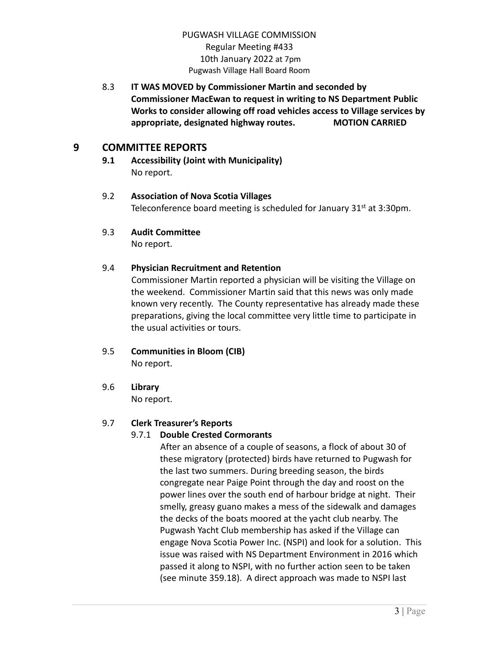## PUGWASH VILLAGE COMMISSION Regular Meeting #433 10th January 2022 at 7pm Pugwash Village Hall Board Room

8.3 **IT WAS MOVED by Commissioner Martin and seconded by Commissioner MacEwan to request in writing to NS Department Public Works to consider allowing off road vehicles access to Village services by appropriate, designated highway routes. MOTION CARRIED**

## **9 COMMITTEE REPORTS**

**9.1 Accessibility (Joint with Municipality)** No report.

### 9.2 **Association of Nova Scotia Villages** Teleconference board meeting is scheduled for January  $31<sup>st</sup>$  at 3:30pm.

9.3 **Audit Committee**

No report.

### 9.4 **Physician Recruitment and Retention**

Commissioner Martin reported a physician will be visiting the Village on the weekend. Commissioner Martin said that this news was only made known very recently. The County representative has already made these preparations, giving the local committee very little time to participate in the usual activities or tours.

9.5 **Communities in Bloom (CIB)**

No report.

9.6 **Library**

No report.

## 9.7 **Clerk Treasurer's Reports**

## 9.7.1 **Double Crested Cormorants**

After an absence of a couple of seasons, a flock of about 30 of these migratory (protected) birds have returned to Pugwash for the last two summers. During breeding season, the birds congregate near Paige Point through the day and roost on the power lines over the south end of harbour bridge at night. Their smelly, greasy guano makes a mess of the sidewalk and damages the decks of the boats moored at the yacht club nearby. The Pugwash Yacht Club membership has asked if the Village can engage Nova Scotia Power Inc. (NSPI) and look for a solution. This issue was raised with NS Department Environment in 2016 which passed it along to NSPI, with no further action seen to be taken (see minute 359.18). A direct approach was made to NSPI last